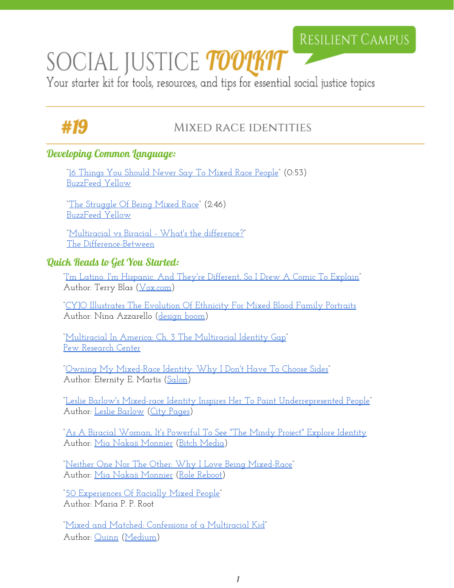## RESILIENT CAMPUS

# SOCIAL JUSTICE TOOTKIT

Your starter kit for tools, resources, and tips for essential social justice topics

# #19

### MIXED RACE IDENTITIES

#### Developing Common Language:

["16 Things You Should](https://www.youtube.com/watch?v=mqHf9ZayI8Y) Never Say To Mixed Race People" (0:53) [BuzzFeed Yellow](https://www.youtube.com/channel/UCay_OLhWtf9iklq8zg_or0g)

["The Struggle Of Being Mixed](https://www.youtube.com/watch?v=ob-qmfvnQVo) Race" (2:46) [BuzzFeed Yellow](https://www.youtube.com/channel/UCay_OLhWtf9iklq8zg_or0g)

["Multiracial vs Biracial -](http://the-difference-between.com/biracial/multiracial) What's the difference?" [The Difference-Between](http://the-difference-between.com/)

#### Quick Reads to Get You Started:

["I'm Latino. I'm Hispanic. And](http://www.vox.com/2015/8/19/9173457/hispanic-latino-comic) They're Different, So I Drew A Comic To Explain" Author: Terry Blas ([Vox.com\)](http://www.vox.com/)

["CYJO Illustrates The Evolution](http://www.designboom.com/art/cyjo-ethnicity-mixed-blood-family-portraits-07-01-2014/) Of Ethnicity For Mixed Blood Family Portraits Author: Nina Azzarello [\(design](http://www.designboom.com/) boom)

["Multiracial In America:](http://www.pewsocialtrends.org/2015/06/11/chapter-3-the-multiracial-identity-gap/) Ch. 3 The Multiracial Identity Gap" [Pew Research Center](http://www.pewresearch.org/)

["Owning My Mixed-Race](http://www.salon.com/2014/03/12/owning_my_mixed_race_identity_why_i_dont_have_to_choose_sides/) Identity: Why I Don't Have To Choose Sides" Author: Eternity E. Martis [\(Salon\)](http://www.salon.com/)

["Leslie Barlow's Mixed-race](http://www.citypages.com/arts/leslie-barlows-mixed-race-identity-inspires-her-to-paint-underrepresented-people-8411372) Identity Inspires Her To Paint Underrepresented People" Author: [Leslie Barlow](http://www.lesliebarlowartist.com/about-leslie-barlow/) (City [Pages\)](http://www.citypages.com/)

["As A Biracial Woman, It's Powerful To](https://bitchmedia.org/article/biracial-woman-its-powerful-see-mindy-project-explore-identity-feminism) See "The Mindy Project" Explore Identity Author: [Mia Nakaji Monnier](http://www.mianakajimonnier.com/) (Bitch [Media\)](https://bitchmedia.org/)

["Neither One Nor The](http://www.rolereboot.org/culture-and-politics/details/2015-09-neither-one-nor-the-other-why-i-love-being-mixed-race/) Other: Why I Love Being Mixed-Race" Author: [Mia Nakaji Monnier](http://www.mianakajimonnier.com/) (Role [Reboot\)](http://www.rolereboot.org/)

["50 Experiences Of Racially](http://www.drmariaroot.com/doc/50Experiences.pdf) Mixed People" Author: Maria P. P. Root

["Mixed and Matched:](https://medium.com/@stillmatic/mixed-and-matched-confessions-of-a-multiracial-kid-b413f3b64f2c#.9afh9sxu8) Confessions of a Multiracial Kid" Author: [Quinn](https://medium.com/@stillmatic) [\(Medium\)](https://medium.com/)